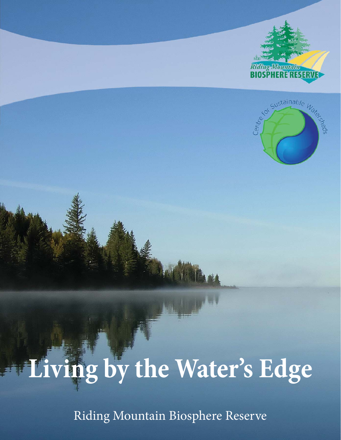



# **Living by the Water's Edge**

Riding Mountain Biosphere Reserve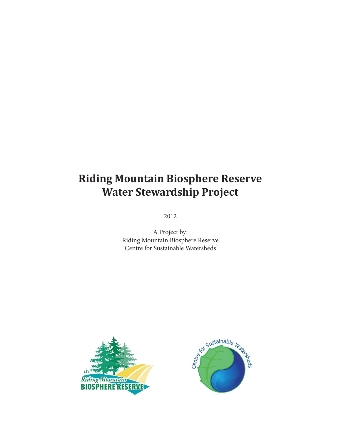# **Riding Mountain Biosphere Reserve Water Stewardship Project**

2012

A Project by: Riding Mountain Biosphere Reserve Centre for Sustainable Watersheds



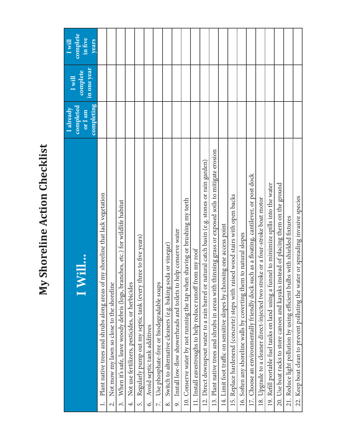# My Shoreline Action Checklist **My Shoreline Action Checklist**

|                                                                                                        | I already            | I will                  | I will              |
|--------------------------------------------------------------------------------------------------------|----------------------|-------------------------|---------------------|
| $\bm{\mathcal{S}}$                                                                                     | completed<br>or I am | in one year<br>complete | complete<br>in five |
| Plant native trees and shrubs along areas of my shoreline that lack vegetation                         | completing           |                         | years               |
| Not mow my lawn so close to the shoreline<br>$\dot{\sim}$                                              |                      |                         |                     |
| When it's safe, leave woody debris (logs, branches, etc.) for wildlife habitat<br>$\dot{\mathfrak{c}}$ |                      |                         |                     |
| Not use fertilizers, pesticides, or herbicides<br>4.                                                   |                      |                         |                     |
| Regularly pump out my septic tank (every three to five years)<br>r.                                    |                      |                         |                     |
| Avoid septic tank additives<br>$\dot{\circ}$                                                           |                      |                         |                     |
| Use phosphate-free or biodegradable soaps<br>$\ddot{\sim}$                                             |                      |                         |                     |
| Switch to alternative cleaners (e.g. baking soda or vinegar)<br>$\infty$                               |                      |                         |                     |
| Install low-flow showerheads and toilets to help conserve water<br>o,                                  |                      |                         |                     |
| shaving or brushing my teeth<br>10. Conserve water by not running the tap when                         |                      |                         |                     |
| 11. Install eavestroughs to help reduce runoff from my roof                                            |                      |                         |                     |
| 12. Direct downspout water to a rain barrel or natural catch basin (e.g. stones or rain garden)        |                      |                         |                     |
| 13. Plant native trees and shrubs in areas with thinning grass or exposed soils to mitigate erosion    |                      |                         |                     |
| 14. Limit foot traffic on sensitive slopes by choosing one access point                                |                      |                         |                     |
| 15. Replace hardenend (concrete) steps with raised wood stairs with open backs                         |                      |                         |                     |
| 16. Soften any shoreline walls by coverting them to natural slopes                                     |                      |                         |                     |
| 17. Choose an environmentally friendly dock such as a floating, cantilever, or post dock               |                      |                         |                     |
| 18. Upgrade to a cleaner direct-injected two stroke or a four-stroke boat motor                        |                      |                         |                     |
| 19. Refill portable fuel tanks on land using a funnel to minimize spills into the water                |                      |                         |                     |
| Use boat racks to store canoes and kayaks instead of placing them on the ground<br>20.                 |                      |                         |                     |
| 21. Reduce light pollution by using efficient bulbs with shielded fixtures                             |                      |                         |                     |
| 22. Keep boat clean to prevent polluting the water or spreading invasive species                       |                      |                         |                     |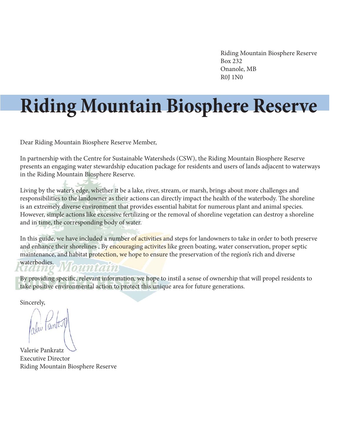Riding Mountain Biosphere Reserve Box 232 Onanole, MB R0J 1N0

# **Riding Mountain Biosphere Reserve**

Dear Riding Mountain Biosphere Reserve Member,

In partnership with the Centre for Sustainable Watersheds (CSW), the Riding Mountain Biosphere Reserve presents an engaging water stewardship education package for residents and users of lands adjacent to waterways in the Riding Mountain Biosphere Reserve.

Living by the water's edge, whether it be a lake, river, stream, or marsh, brings about more challenges and responsibilities to the landowner as their actions can directly impact the health of the waterbody. The shoreline is an extremely diverse environment that provides essential habitat for numerous plant and animal species. However, simple actions like excessive fertilizing or the removal of shoreline vegetation can destroy a shoreline and in time, the corresponding body of water.

In this guide, we have included a number of activities and steps for landowners to take in order to both preserve and enhance their shorelines. By encouraging activites like green boating, water conservation, proper septic maintenance, and habitat protection, we hope to ensure the preservation of the region's rich and diverse waterbodies.

#### Iountain aame

By providing specific, relevant information, we hope to instil a sense of ownership that will propel residents to take positive environmental action to protect this unique area for future generations.

Sincerely, Sincerely

Jali Tenta

Valerie Pankratz Executive Director Riding Mountain Biosphere Reserve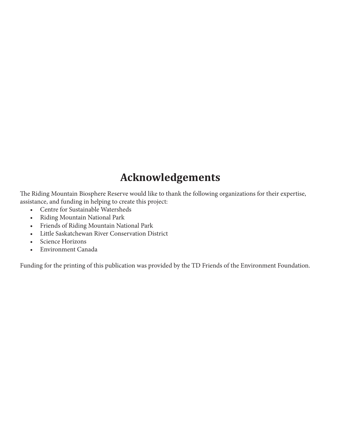# **Acknowledgements**

The Riding Mountain Biosphere Reserve would like to thank the following organizations for their expertise, assistance, and funding in helping to create this project:

- Centre for Sustainable Watersheds
- Riding Mountain National Park
- Friends of Riding Mountain National Park
- Little Saskatchewan River Conservation District
- Science Horizons
- Environment Canada

Funding for the printing of this publication was provided by the TD Friends of the Environment Foundation.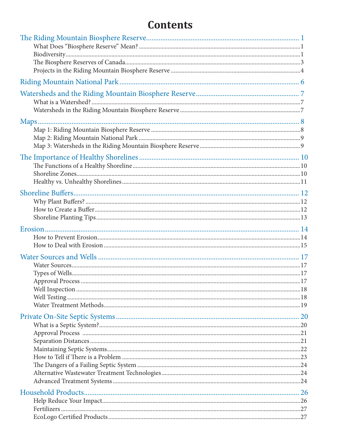# **Contents**

| Approval Process |  |
|------------------|--|
|                  |  |
|                  |  |
|                  |  |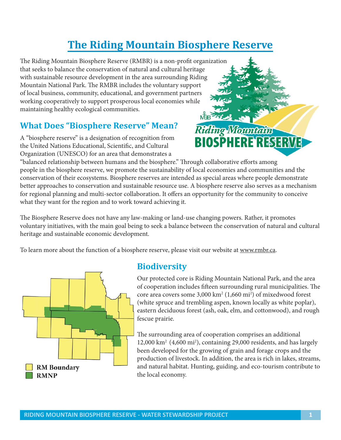# **The Riding Mountain Biosphere Reserve**

The Riding Mountain Biosphere Reserve (RMBR) is a non-profit organization that seeks to balance the conservation of natural and cultural heritage with sustainable resource development in the area surrounding Riding Mountain National Park. The RMBR includes the voluntary support of local business, community, educational, and government partners working cooperatively to support prosperous local economies while maintaining healthy ecological communities.

#### **What Does "Biosphere Reserve" Mean?**

A "biosphere reserve" is a designation of recognition from the United Nations Educational, Scientific, and Cultural Organization (UNESCO) for an area that demonstrates a

Riding Mountain **BIOSPHERE RESERVE** 

"balanced relationship between humans and the biosphere." Through collaborative efforts among people in the biosphere reserve, we promote the sustainability of local economies and communities and the conservation of their ecosystems. Biosphere reserves are intended as special areas where people demonstrate better approaches to conservation and sustainable resource use. A biosphere reserve also serves as a mechanism for regional planning and multi-sector collaboration. It offers an opportunity for the community to conceive what they want for the region and to work toward achieving it.

The Biosphere Reserve does not have any law-making or land-use changing powers. Rather, it promotes voluntary initiatives, with the main goal being to seek a balance between the conservation of natural and cultural heritage and sustainable economic development.

To learn more about the function of a biosphere reserve, please visit our website at www.rmbr.ca.



#### **Biodiversity**

Our protected core is Riding Mountain National Park, and the area of cooperation includes fifteen surrounding rural municipalities. The core area covers some  $3,000 \text{ km}^2 (1,660 \text{ mi}^2)$  of mixedwood forest (white spruce and trembling aspen, known locally as white poplar), eastern deciduous forest (ash, oak, elm, and cottonwood), and rough fescue prairie.

The surrounding area of cooperation comprises an additional 12,000 km2 (4,600 mi2 ), containing 29,000 residents, and has largely been developed for the growing of grain and forage crops and the production of livestock. In addition, the area is rich in lakes, streams, and natural habitat. Hunting, guiding, and eco-tourism contribute to the local economy.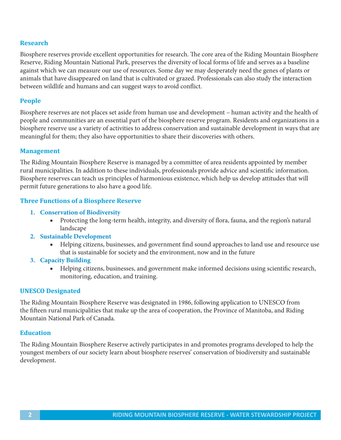#### **Research**

Biosphere reserves provide excellent opportunities for research. The core area of the Riding Mountain Biosphere Reserve, Riding Mountain National Park, preserves the diversity of local forms of life and serves as a baseline against which we can measure our use of resources. Some day we may desperately need the genes of plants or animals that have disappeared on land that is cultivated or grazed. Professionals can also study the interaction between wildlife and humans and can suggest ways to avoid conflict.

#### **People**

Biosphere reserves are not places set aside from human use and development – human activity and the health of people and communities are an essential part of the biosphere reserve program. Residents and organizations in a biosphere reserve use a variety of activities to address conservation and sustainable development in ways that are meaningful for them; they also have opportunities to share their discoveries with others.

#### **Management**

The Riding Mountain Biosphere Reserve is managed by a committee of area residents appointed by member rural municipalities. In addition to these individuals, professionals provide advice and scientific information. Biosphere reserves can teach us principles of harmonious existence, which help us develop attitudes that will permit future generations to also have a good life.

#### **Three Functions of a Biosphere Reserve**

- **1. Conservation of Biodiversity**
	- Protecting the long-term health, integrity, and diversity of flora, fauna, and the region's natural landscape
- **2. Sustainable Development**
	- Helping citizens, businesses, and government find sound approaches to land use and resource use that is sustainable for society and the environment, now and in the future
- **3. Capacity Building**
	- Helping citizens, businesses, and government make informed decisions using scientific research, monitoring, education, and training.

#### **UNESCO Designated**

The Riding Mountain Biosphere Reserve was designated in 1986, following application to UNESCO from the fifteen rural municipalities that make up the area of cooperation, the Province of Manitoba, and Riding Mountain National Park of Canada.

#### **Education**

The Riding Mountain Biosphere Reserve actively participates in and promotes programs developed to help the youngest members of our society learn about biosphere reserves' conservation of biodiversity and sustainable development.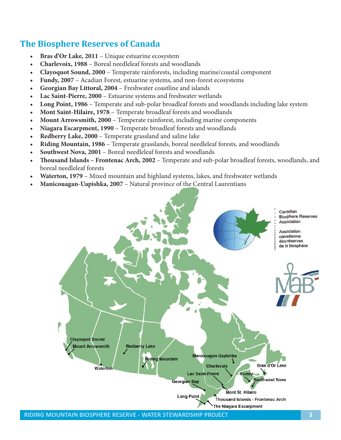#### **The Biosphere Reserves of Canada**

- **t Bras d'Or Lake, 2011** Unique estuarine ecosystem
- **t Charlevoix, 1988** Boreal needleleaf forests and woodlands
- **t Clayoquot Sound, 2000** Temperate rainforests, including marine/coastal component
- **t Fundy, 2007** Acadian Forest, estuarine systems, and non-forest ecosystems
- **t Georgian Bay Littoral, 2004** Freshwater coastline and islands
- **t Lac Saint-Pierre, 2000** Estuarine systems and freshwater wetlands
- **t Long Point, 1986** Temperate and sub-polar broadleaf forests and woodlands including lake system
- **t Mont Saint-Hilaire, 1978** Temperate broadleaf forests and woodlands
- **Mount Arrowsmith, 2000** Temperate rainforest, including marine components
- **t Niagara Escarpment, 1990** Temperate broadleaf forests and woodlands
- **t Redberry Lake, 2000**  Temperate grassland and saline lake
- **t Riding Mountain, 1986** Temperate grasslands, boreal needleleaf forests, and woodlands
- **Southwest Nova, 2001** Boreal needleleaf forests and woodlands
- **t Thousand Islands Frontenac Arch, 2002** Temperate and sub-polar broadleaf forests, woodlands, and boreal needleleaf forests
- Waterton, 1979 Mixed mountain and highland systems, lakes, and freshwater wetlands
- **Manicouagan-Uapishka, 2007** Natural province of the Central Laurentians

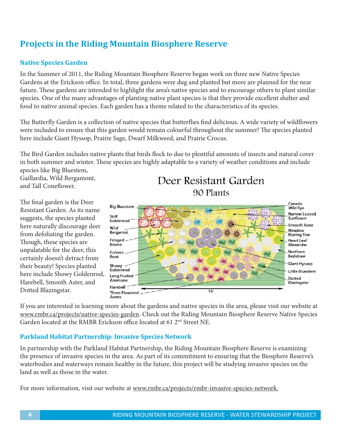#### **Projects in the Riding Mountain Biosphere Reserve**

#### **Native Species Garden**

In the Summer of 2011, the Riding Mountain Biosphere Reserve began work on three new Native Species Gardens at the Erickson office. In total, three gardens were dug and planted but more are planned for the near future. These gardens are intended to highlight the area's native species and to encourage others to plant similar species. One of the many advantages of planting native plant species is that they provide excellent shelter and food to native animal species. Each garden has a theme related to the characteristics of its species.

The Butterfly Garden is a collection of native species that butterflies find delicious. A wide variety of wildflowers were included to ensure that this garden would remain colourful throughout the summer! The species planted here include Giant Hyssop, Prairie Sage, Dwarf Milkweed, and Prairie Crocus.

The Bird Garden includes native plants that birds flock to due to plentiful amounts of insects and natural cover in both summer and winter. These species are highly adaptable to a variety of weather conditions and include species like Big Bluestem,

Gaillardia, Wild Bergamont, and Tall Coneflower.

The final garden is the Deer Resistant Garden. As its name suggests, the species planted here naturally discourage deer from defoliating the garden. Though, these species are unpalatable for the deer, this certainly doesn't detract from their beauty! Species planted here include Showy Goldenrod, Harebell, Smooth Aster, and Dotted Blazingstar.

Deer Resistant Garden 90 Plants



If you are interested in learning more about the gardens and native species in the area, please visit our website at www.rmbr.ca/projects/native-species-garden. Check out the Riding Mountain Biosphere Reserve Native Species Garden located at the RMBR Erickson office located at 61 2<sup>nd</sup> Street NE.

#### **Parkland Habitat Partnership: Invasive Species Network**

In partnership with the Parkland Habitat Partnership, the Riding Mountain Biosphere Reserve is examining the presence of invasive species in the area. As part of its commitment to ensuring that the Biosphere Reserve's waterbodies and waterways remain healthy in the future, this project will be studying invasive species on the land as well as those in the water.

For more information, visit our website at www.rmbr.ca/projects/rmbr-invasive-species-network.